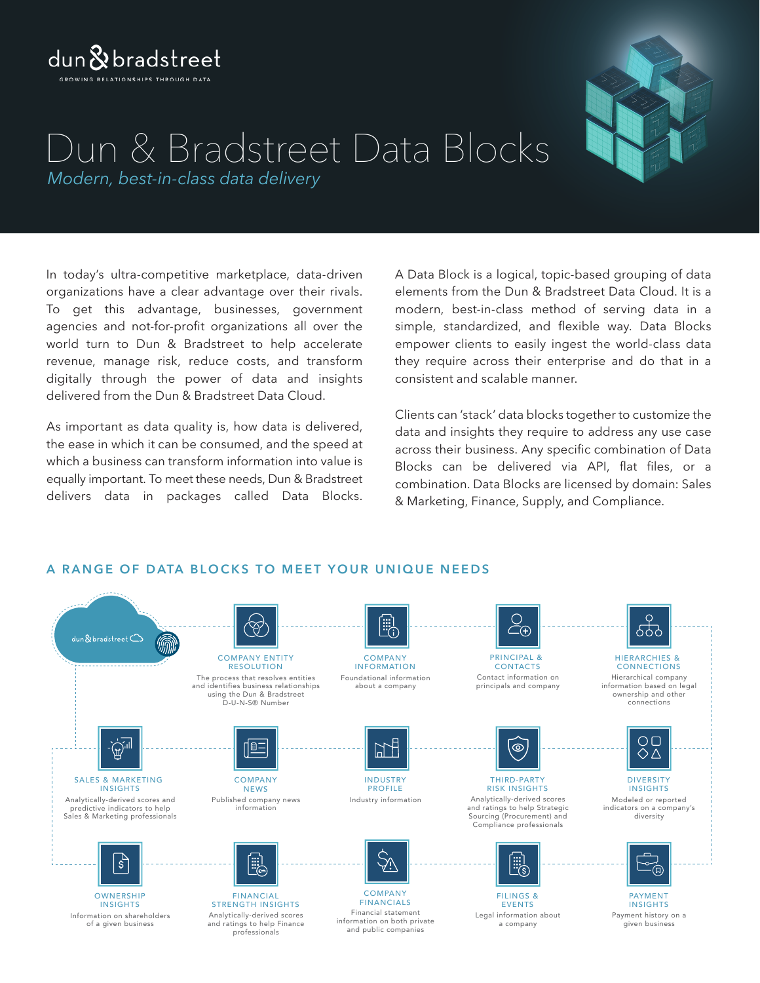### $d$ un $\&$  bradstreet GROWING RELATIONSHIPS THROUGH DATA

## *Modern, best-in-class data delivery* Dun & Bradstreet Data Blocks

In today's ultra-competitive marketplace, data-driven organizations have a clear advantage over their rivals. To get this advantage, businesses, government agencies and not-for-profit organizations all over the world turn to Dun & Bradstreet to help accelerate revenue, manage risk, reduce costs, and transform digitally through the power of data and insights delivered from the Dun & Bradstreet Data Cloud.

As important as data quality is, how data is delivered, the ease in which it can be consumed, and the speed at which a business can transform information into value is equally important. To meet these needs, Dun & Bradstreet delivers data in packages called Data Blocks.

A Data Block is a logical, topic-based grouping of data elements from the Dun & Bradstreet Data Cloud. It is a modern, best-in-class method of serving data in a simple, standardized, and flexible way. Data Blocks empower clients to easily ingest the world-class data they require across their enterprise and do that in a consistent and scalable manner.

Clients can 'stack' data blocks together to customize the data and insights they require to address any use case across their business. Any specific combination of Data Blocks can be delivered via API, flat files, or a combination. Data Blocks are licensed by domain: Sales & Marketing, Finance, Supply, and Compliance.

#### <u>el</u><br>Ec  $\overline{\mathfrak{P}}$  $\bar{\bar{H}}(4)$ 899 Ĺ dun $\&$ bradstreet $\bigcirc$ COMPANY ENTITY COMPANY PRINCIPAL & HIERARCHIES & INFORMATION RESOLUTION CONTACTS **CONNECTIONS** The process that resolves entities Foundational information Contact information on Hierarchical company and identifies business relationships about a company principals and company information based on legal using the Dun & Bradstreet ownership and other D-U-N-S® Number connections  $\sum_{i=1}^{n} \frac{1}{i} \sum_{i=1}^{n} \frac{1}{i} \sum_{i=1}^{n} \frac{1}{i} \sum_{i=1}^{n} \frac{1}{i} \sum_{i=1}^{n} \frac{1}{i} \sum_{i=1}^{n} \frac{1}{i} \sum_{i=1}^{n} \frac{1}{i} \sum_{i=1}^{n} \frac{1}{i} \sum_{i=1}^{n} \frac{1}{i} \sum_{i=1}^{n} \frac{1}{i} \sum_{i=1}^{n} \frac{1}{i} \sum_{i=1}^{n} \frac{1}{i} \sum_{i=1}^{n} \frac{1}{i$  $\cap \cap$  $\mathbb{H}$  $\mathsf{P}$  $\circledcirc$  $\Diamond \triangle$ SALES & MARKETING **COMPANY** INDUSTRY THIRD-PARTY **DIVERSITY** INSIGHTS **NEWS** PROFILE RISK INSIGHTS INSIGHTS Published company news Modeled or reported Analytically-derived scores and Industry information Analytically-derived scores information indicators on a company's predictive indicators to help Sales & Marketing professionals and ratings to help Strategic Sourcing (Procurement) and diversity Compliance professionals [::]<br><u>!¨</u>⊜  $\frac{1}{2}$ Ÿï/ ö 回 COMPANY **OWNERSHIP** FINANCIAL FILINGS & PAYMENT FINANCIALS INSIGHTS STRENGTH INSIGHTS EVENTS INSIGHTS Financial statement Information on shareholders Analytically-derived scores Payment history on a Legal information about information on both private of a given business and ratings to help Finance a company given business and public companies professionals

### **A RANGE OF DATA BL OCKS TO MEET YOUR UNIQ U E NEEDS**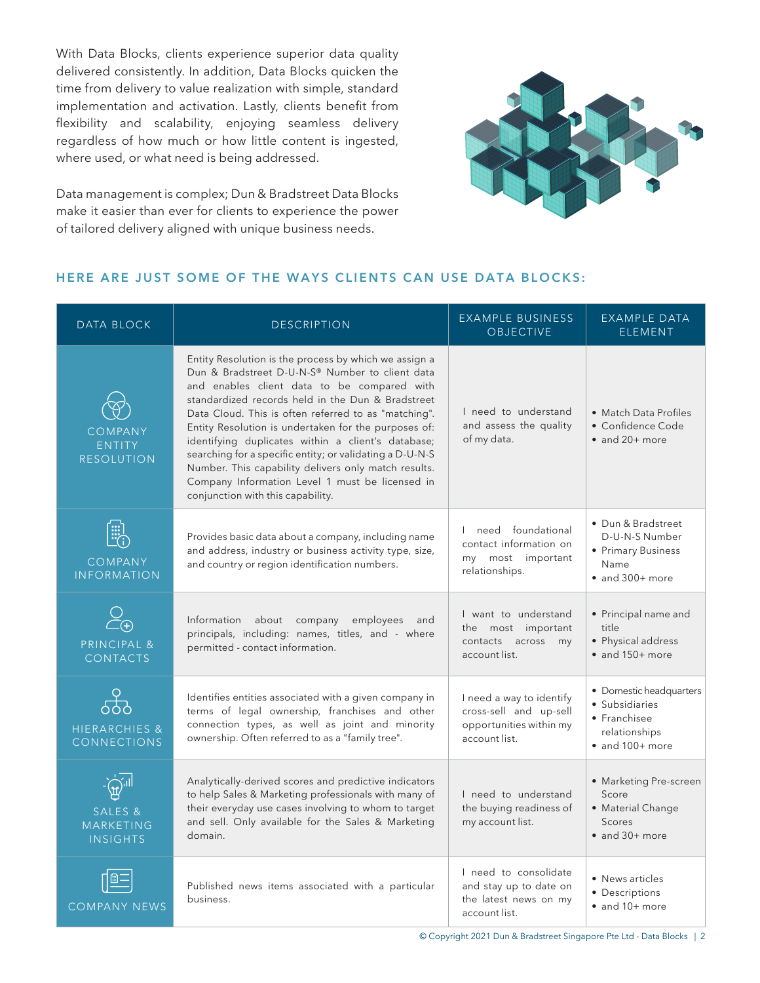With Data Blocks, clients experience superior data quality delivered consistently. In addition, Data Blocks quicken the time from delivery to value realization with simple, standard implementation and activation. Lastly, clients benefit from flexibility and scalability, enjoying seamless delivery regardless of how much or how little content is ingested, where used, or what need is being addressed.

Data management is complex; Dun & Bradstreet Data Blocks make it easier than ever for clients to experience the power of tailored delivery aligned with unique business needs.



#### **HERE ARE JUST SOME OF THE WAYS CLIENTS CAN USE DATA BLOCKS:**

| <b>DATA BLOCK</b>                                  | <b>DESCRIPTION</b>                                                                                                                                                                                                                                                                                                                                                                                                                                                                                                                                                                             | <b>EXAMPLE BUSINESS</b><br><b>OBJECTIVE</b>                                                    | <b>EXAMPLE DATA</b><br><b>ELEMENT</b>                                                                 |
|----------------------------------------------------|------------------------------------------------------------------------------------------------------------------------------------------------------------------------------------------------------------------------------------------------------------------------------------------------------------------------------------------------------------------------------------------------------------------------------------------------------------------------------------------------------------------------------------------------------------------------------------------------|------------------------------------------------------------------------------------------------|-------------------------------------------------------------------------------------------------------|
| <b>COMPANY</b><br><b>ENTITY</b><br>RESOLUTION      | Entity Resolution is the process by which we assign a<br>Dun & Bradstreet D-U-N-S® Number to client data<br>and enables client data to be compared with<br>standardized records held in the Dun & Bradstreet<br>Data Cloud. This is often referred to as "matching".<br>Entity Resolution is undertaken for the purposes of:<br>identifying duplicates within a client's database;<br>searching for a specific entity; or validating a D-U-N-S<br>Number. This capability delivers only match results.<br>Company Information Level 1 must be licensed in<br>conjunction with this capability. | I need to understand<br>and assess the quality<br>of my data.                                  | • Match Data Profiles<br>• Confidence Code<br>$\bullet$ and 20+ more                                  |
| [::]<br>EG<br><b>COMPANY</b><br><b>INFORMATION</b> | Provides basic data about a company, including name<br>and address, industry or business activity type, size,<br>and country or region identification numbers.                                                                                                                                                                                                                                                                                                                                                                                                                                 | I need foundational<br>contact information on<br>my most important<br>relationships.           | • Dun & Bradstreet<br>D-U-N-S Number<br>• Primary Business<br>Name<br>$\bullet$ and 300+ more         |
| $\sum_{\sub{F}}$<br>PRINCIPAL &<br><b>CONTACTS</b> | Information about company<br>employees and<br>principals, including: names, titles, and - where<br>permitted - contact information.                                                                                                                                                                                                                                                                                                                                                                                                                                                            | I want to understand<br>the most important<br>contacts across my<br>account list.              | • Principal name and<br>title<br>• Physical address<br>$\bullet$ and 150+ more                        |
| တိ<br><b>HIERARCHIES &amp;</b><br>CONNECTIONS      | Identifies entities associated with a given company in<br>terms of legal ownership, franchises and other<br>connection types, as well as joint and minority<br>ownership. Often referred to as a "family tree".                                                                                                                                                                                                                                                                                                                                                                                | I need a way to identify<br>cross-sell and up-sell<br>opportunities within my<br>account list. | · Domestic headquarters<br>· Subsidiaries<br>• Franchisee<br>relationships<br>$\bullet$ and 100+ more |
| SALES &<br>MARKETING<br><b>INSIGHTS</b>            | Analytically-derived scores and predictive indicators<br>to help Sales & Marketing professionals with many of<br>their everyday use cases involving to whom to target<br>and sell. Only available for the Sales & Marketing<br>domain.                                                                                                                                                                                                                                                                                                                                                         | I need to understand<br>the buying readiness of<br>my account list.                            | • Marketing Pre-screen<br>Score<br>· Material Change<br><b>Scores</b><br>$\bullet$ and 30+ more       |
| <b>COMPANY NEWS</b>                                | Published news items associated with a particular<br>business.                                                                                                                                                                                                                                                                                                                                                                                                                                                                                                                                 | I need to consolidate<br>and stay up to date on<br>the latest news on my<br>account list.      | • News articles<br>• Descriptions<br>• and 10+ more                                                   |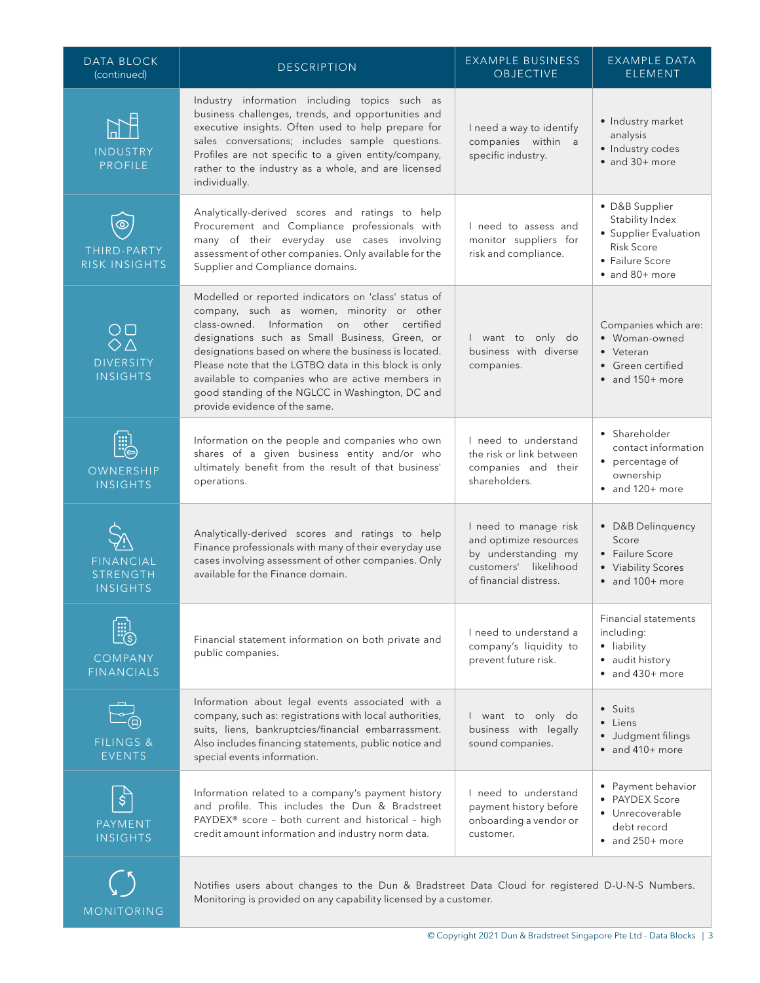| <b>DATA BLOCK</b><br>(continued)                                                                | <b>DESCRIPTION</b>                                                                                                                                                                                                                                                                                                                                                                                                                                           | <b>EXAMPLE BUSINESS</b><br><b>OBJECTIVE</b>                                                                               | <b>EXAMPLE DATA</b><br><b>ELEMENT</b>                                                                                |
|-------------------------------------------------------------------------------------------------|--------------------------------------------------------------------------------------------------------------------------------------------------------------------------------------------------------------------------------------------------------------------------------------------------------------------------------------------------------------------------------------------------------------------------------------------------------------|---------------------------------------------------------------------------------------------------------------------------|----------------------------------------------------------------------------------------------------------------------|
| <b>INDUSTRY</b><br><b>PROFILE</b>                                                               | Industry information including topics such as<br>business challenges, trends, and opportunities and<br>executive insights. Often used to help prepare for<br>sales conversations; includes sample questions.<br>Profiles are not specific to a given entity/company,<br>rather to the industry as a whole, and are licensed<br>individually.                                                                                                                 | I need a way to identify<br>companies within a<br>specific industry.                                                      | · Industry market<br>analysis<br>· Industry codes<br>$\bullet$ and 30+ more                                          |
| $\circledcirc$<br>THIRD-PARTY<br>RISK INSIGHTS                                                  | Analytically-derived scores and ratings to help<br>Procurement and Compliance professionals with<br>many of their everyday use cases involving<br>assessment of other companies. Only available for the<br>Supplier and Compliance domains.                                                                                                                                                                                                                  | I need to assess and<br>monitor suppliers for<br>risk and compliance.                                                     | · D&B Supplier<br>Stability Index<br>• Supplier Evaluation<br><b>Risk Score</b><br>• Failure Score<br>• and 80+ more |
| $\underset{\diamond}{\circ} \underset{\triangle}{\circ}$<br><b>DIVERSITY</b><br><b>INSIGHTS</b> | Modelled or reported indicators on 'class' status of<br>company, such as women, minority or other<br>class-owned. Information on other certified<br>designations such as Small Business, Green, or<br>designations based on where the business is located.<br>Please note that the LGTBQ data in this block is only<br>available to companies who are active members in<br>good standing of the NGLCC in Washington, DC and<br>provide evidence of the same. | I want to only do<br>business with diverse<br>companies.                                                                  | Companies which are:<br>• Woman-owned<br>• Veteran<br>• Green certified<br>$\bullet$ and 150+ more                   |
| OWNERSHIP<br><b>INSIGHTS</b>                                                                    | Information on the people and companies who own<br>shares of a given business entity and/or who<br>ultimately benefit from the result of that business'<br>operations.                                                                                                                                                                                                                                                                                       | I need to understand<br>the risk or link between<br>companies and their<br>shareholders.                                  | • Shareholder<br>contact information<br>• percentage of<br>ownership<br>$\bullet$ and 120+ more                      |
| <b>FINANCIAL</b><br><b>STRENGTH</b><br><b>INSIGHTS</b>                                          | Analytically-derived scores and ratings to help<br>Finance professionals with many of their everyday use<br>cases involving assessment of other companies. Only<br>available for the Finance domain.                                                                                                                                                                                                                                                         | I need to manage risk<br>and optimize resources<br>by understanding my<br>customers' likelihood<br>of financial distress. | • D&B Delinquency<br>Score<br>• Failure Score<br>• Viability Scores<br>$\bullet$ and 100+ more                       |
| COMPANY<br><b>FINANCIALS</b>                                                                    | Financial statement information on both private and<br>public companies.                                                                                                                                                                                                                                                                                                                                                                                     | I need to understand a<br>company's liquidity to<br>prevent future risk.                                                  | <b>Financial statements</b><br>includina:<br>· liability<br>• audit history<br>$\bullet$ and 430+ more               |
| <b>FILINGS &amp;</b><br><b>EVENTS</b>                                                           | Information about legal events associated with a<br>company, such as: registrations with local authorities,<br>suits, liens, bankruptcies/financial embarrassment.<br>Also includes financing statements, public notice and<br>special events information.                                                                                                                                                                                                   | I want to only do<br>business with legally<br>sound companies.                                                            | • Suits<br>• Liens<br>· Judgment filings<br>$\bullet$ and 410+ more                                                  |
| \$<br>PAYMENT<br><b>INSIGHTS</b>                                                                | Information related to a company's payment history<br>and profile. This includes the Dun & Bradstreet<br>PAYDEX® score - both current and historical - high<br>credit amount information and industry norm data.                                                                                                                                                                                                                                             | I need to understand<br>payment history before<br>onboarding a vendor or<br>customer.                                     | • Payment behavior<br>• PAYDEX Score<br>• Unrecoverable<br>debt record<br>$\bullet$ and 250+ more                    |
| MONITORING                                                                                      | Notifies users about changes to the Dun & Bradstreet Data Cloud for registered D-U-N-S Numbers.<br>Monitoring is provided on any capability licensed by a customer.                                                                                                                                                                                                                                                                                          |                                                                                                                           |                                                                                                                      |